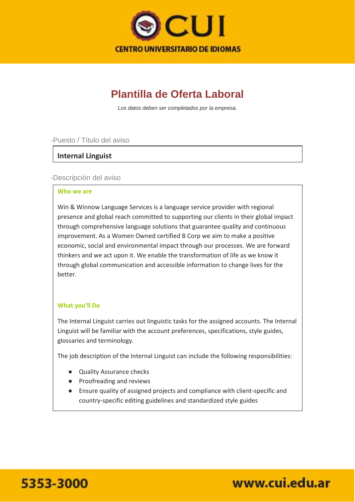

## **Plantilla de Oferta Laboral**

*Los datos deben ser completados por la empresa.*

#### -Puesto / Título del aviso

## **Internal Linguist**

#### -Descripción del aviso

#### **Who we are**

Win & Winnow Language Services is a language service provider with regional presence and global reach committed to supporting our clients in their global impact through comprehensive language solutions that guarantee quality and continuous improvement. As a Women Owned certified B Corp we aim to make a positive economic, social and environmental impact through our processes. We are forward thinkers and we act upon it. We enable the transformation of life as we know it through global communication and accessible information to change lives for the better.

### **What you'll Do**

The Internal Linguist carries out linguistic tasks for the assigned accounts. The Internal Linguist will be familiar with the account preferences, specifications, style guides, glossaries and terminology.

The job description of the Internal Linguist can include the following responsibilities:

- Quality Assurance checks
- Proofreading and reviews
- Ensure quality of assigned projects and compliance with client-specific and country-specific editing guidelines and standardized style guides



www.cui.edu.ar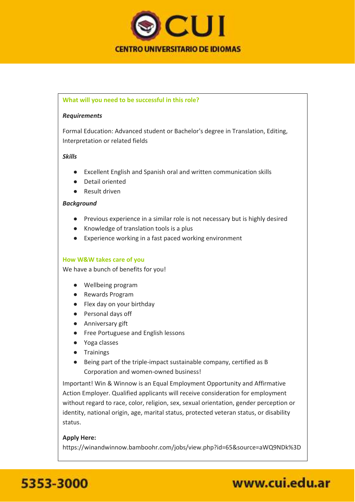

#### **What will you need to be successful in this role?**

#### *Requirements*

Formal Education: Advanced student or Bachelor's degree in Translation, Editing, Interpretation or related fields

#### *Skills*

- Excellent English and Spanish oral and written communication skills
- Detail oriented
- Result driven

#### *Background*

- Previous experience in a similar role is not necessary but is highly desired
- Knowledge of translation tools is a plus
- Experience working in a fast paced working environment

#### **How W&W takes care of you**

We have a bunch of benefits for you!

- Wellbeing program
- Rewards Program
- Flex day on your birthday
- Personal days off
- Anniversary gift
- Free Portuguese and English lessons
- Yoga classes
- Trainings
- Being part of the triple-impact sustainable company, certified as B Corporation and women-owned business!

Important! Win & Winnow is an Equal Employment Opportunity and Affirmative Action Employer. Qualified applicants will receive consideration for employment without regard to race, color, religion, sex, sexual orientation, gender perception or identity, national origin, age, marital status, protected veteran status, or disability status.

#### **Apply Here:**

https://winandwinnow.bamboohr.com/jobs/view.php?id=65&source=aWQ9NDk%3D



# www.cui.edu.ar